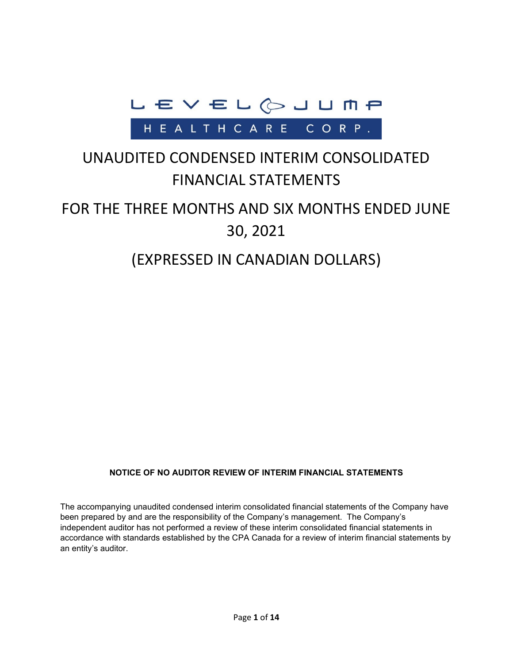

## UNAUDITED CONDENSED INTERIM CONSOLIDATED FINANCIAL STATEMENTS

# FOR THE THREE MONTHS AND SIX MONTHS ENDED JUNE 30, 2021

## (EXPRESSED IN CANADIAN DOLLARS)

#### **NOTICE OF NO AUDITOR REVIEW OF INTERIM FINANCIAL STATEMENTS**

The accompanying unaudited condensed interim consolidated financial statements of the Company have been prepared by and are the responsibility of the Company's management. The Company's independent auditor has not performed a review of these interim consolidated financial statements in accordance with standards established by the CPA Canada for a review of interim financial statements by an entity's auditor.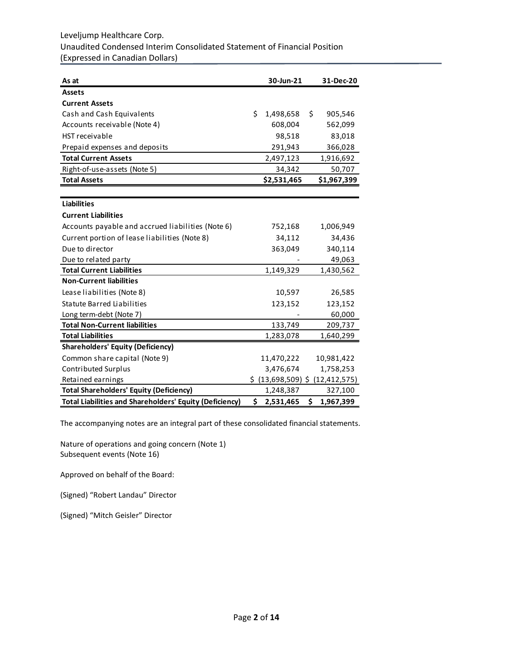#### Leveljump Healthcare Corp. Unaudited Condensed Interim Consolidated Statement of Financial Position (Expressed in Canadian Dollars)

| As at                                                          |    | 30-Jun-21   |    | 31-Dec-20                       |
|----------------------------------------------------------------|----|-------------|----|---------------------------------|
| <b>Assets</b>                                                  |    |             |    |                                 |
| <b>Current Assets</b>                                          |    |             |    |                                 |
| Cash and Cash Equivalents                                      | \$ | 1,498,658   | Ś. | 905,546                         |
| Accounts receivable (Note 4)                                   |    | 608,004     |    | 562,099                         |
| HST receivable                                                 |    | 98,518      |    | 83,018                          |
| Prepaid expenses and deposits                                  |    | 291,943     |    | 366,028                         |
| <b>Total Current Assets</b>                                    |    | 2,497,123   |    | 1,916,692                       |
| Right-of-use-assets (Note 5)                                   |    | 34,342      |    | 50,707                          |
| <b>Total Assets</b>                                            |    | \$2,531,465 |    | \$1,967,399                     |
|                                                                |    |             |    |                                 |
| <b>Liabilities</b>                                             |    |             |    |                                 |
| <b>Current Liabilities</b>                                     |    |             |    |                                 |
| Accounts payable and accrued liabilities (Note 6)              |    | 752,168     |    | 1,006,949                       |
| Current portion of lease liabilities (Note 8)                  |    | 34,112      |    | 34,436                          |
| Due to director                                                |    | 363,049     |    | 340,114                         |
| Due to related party                                           |    |             |    | 49,063                          |
| <b>Total Current Liabilities</b>                               |    | 1,149,329   |    | 1,430,562                       |
| <b>Non-Current liabilities</b>                                 |    |             |    |                                 |
| Lease liabilities (Note 8)                                     |    | 10,597      |    | 26,585                          |
| <b>Statute Barred Liabilities</b>                              |    | 123,152     |    | 123,152                         |
| Long term-debt (Note 7)                                        |    |             |    | 60,000                          |
| <b>Total Non-Current liabilities</b>                           |    | 133,749     |    | 209,737                         |
| <b>Total Liabilities</b>                                       |    | 1,283,078   |    | 1,640,299                       |
| <b>Shareholders' Equity (Deficiency)</b>                       |    |             |    |                                 |
| Common share capital (Note 9)                                  |    | 11,470,222  |    | 10,981,422                      |
| Contributed Surplus                                            |    | 3,476,674   |    | 1,758,253                       |
| Retained earnings                                              |    |             |    | \$ (13,698,509) \$ (12,412,575) |
| <b>Total Shareholders' Equity (Deficiency)</b>                 |    | 1,248,387   |    | 327,100                         |
| <b>Total Liabilities and Shareholders' Equity (Deficiency)</b> | Ś. | 2,531,465   | \$ | 1,967,399                       |

The accompanying notes are an integral part of these consolidated financial statements.

Nature of operations and going concern (Note 1) Subsequent events (Note 16)

Approved on behalf of the Board:

(Signed) "Robert Landau" Director

(Signed) "Mitch Geisler" Director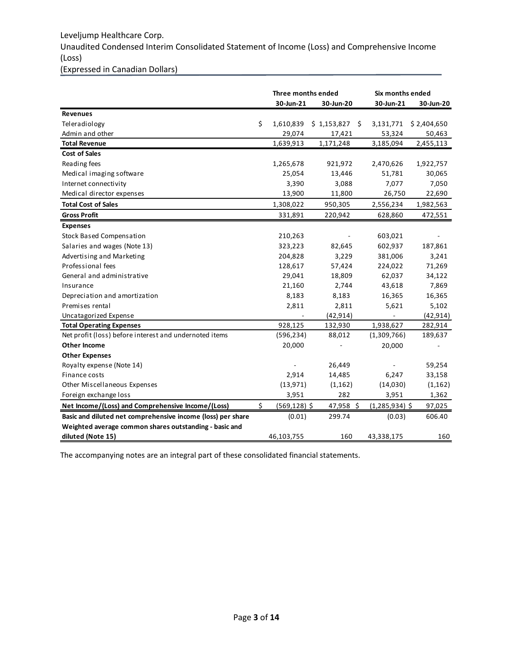## Leveljump Healthcare Corp. Unaudited Condensed Interim Consolidated Statement of Income (Loss) and Comprehensive Income (Loss)

|                                                             | Three months ended    |             | Six months ended |             |
|-------------------------------------------------------------|-----------------------|-------------|------------------|-------------|
|                                                             | 30-Jun-21             | 30-Jun-20   | 30-Jun-21        | 30-Jun-20   |
| <b>Revenues</b>                                             |                       |             |                  |             |
| Teleradiology                                               | \$<br>1,610,839       | \$1,153,827 | \$<br>3,131,771  | \$2,404,650 |
| Admin and other                                             | 29,074                | 17,421      | 53,324           | 50,463      |
| <b>Total Revenue</b>                                        | 1,639,913             | 1,171,248   | 3,185,094        | 2,455,113   |
| <b>Cost of Sales</b>                                        |                       |             |                  |             |
| Reading fees                                                | 1,265,678             | 921,972     | 2,470,626        | 1,922,757   |
| Medical imaging software                                    | 25,054                | 13,446      | 51,781           | 30,065      |
| Internet connectivity                                       | 3,390                 | 3,088       | 7,077            | 7,050       |
| Medical director expenses                                   | 13,900                | 11,800      | 26,750           | 22,690      |
| <b>Total Cost of Sales</b>                                  | 1,308,022             | 950,305     | 2,556,234        | 1,982,563   |
| <b>Gross Profit</b>                                         | 331,891               | 220,942     | 628,860          | 472,551     |
| <b>Expenses</b>                                             |                       |             |                  |             |
| <b>Stock Based Compensation</b>                             | 210,263               |             | 603,021          |             |
| Salaries and wages (Note 13)                                | 323,223               | 82,645      | 602,937          | 187,861     |
| Advertising and Marketing                                   | 204,828               | 3,229       | 381,006          | 3,241       |
| Professional fees                                           | 128,617               | 57,424      | 224,022          | 71,269      |
| General and administrative                                  | 29,041                | 18,809      | 62,037           | 34,122      |
| Insurance                                                   | 21,160                | 2,744       | 43,618           | 7,869       |
| Depreciation and amortization                               | 8,183                 | 8,183       | 16,365           | 16,365      |
| Premises rental                                             | 2,811                 | 2,811       | 5,621            | 5,102       |
| Uncatagorized Expense                                       |                       | (42, 914)   |                  | (42, 914)   |
| <b>Total Operating Expenses</b>                             | 928,125               | 132,930     | 1,938,627        | 282,914     |
| Net profit (loss) before interest and undernoted items      | (596, 234)            | 88,012      | (1,309,766)      | 189,637     |
| <b>Other Income</b>                                         | 20,000                |             | 20,000           |             |
| <b>Other Expenses</b>                                       |                       |             |                  |             |
| Royalty expense (Note 14)                                   |                       | 26,449      |                  | 59,254      |
| Finance costs                                               | 2,914                 | 14,485      | 6,247            | 33,158      |
| Other Miscellaneous Expenses                                | (13, 971)             | (1, 162)    | (14,030)         | (1, 162)    |
| Foreign exchange loss                                       | 3,951                 | 282         | 3,951            | 1,362       |
| Net Income/(Loss) and Comprehensive Income/(Loss)           | \$<br>$(569, 128)$ \$ | 47,958 \$   | $(1,285,934)$ \$ | 97,025      |
| Basic and diluted net comprehensive income (loss) per share | (0.01)                | 299.74      | (0.03)           | 606.40      |
| Weighted average common shares outstanding - basic and      |                       |             |                  |             |
| diluted (Note 15)                                           | 46,103,755            | 160         | 43,338,175       | 160         |

The accompanying notes are an integral part of these consolidated financial statements.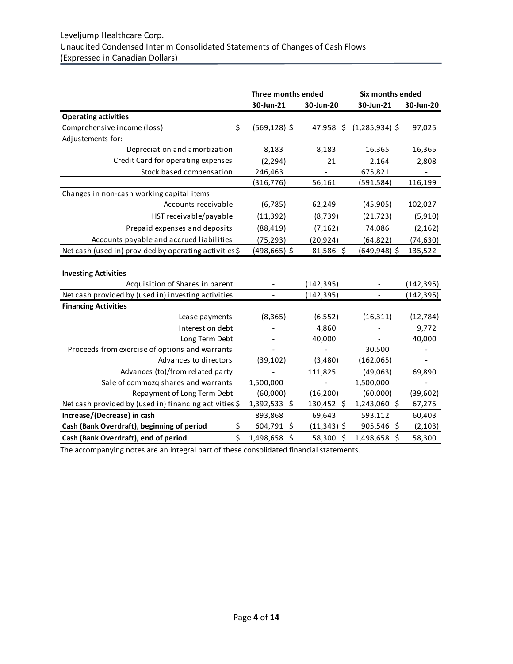|                                                        | Three months ended       |                              | Six months ended         |                              |
|--------------------------------------------------------|--------------------------|------------------------------|--------------------------|------------------------------|
|                                                        | 30-Jun-21                | 30-Jun-20                    | 30-Jun-21                | 30-Jun-20                    |
| <b>Operating activities</b>                            |                          |                              |                          |                              |
| \$<br>Comprehensive income (loss)                      | $(569, 128)$ \$          |                              | 47,958 \$ (1,285,934) \$ | 97,025                       |
| Adjustements for:                                      |                          |                              |                          |                              |
| Depreciation and amortization                          | 8,183                    | 8,183                        | 16,365                   | 16,365                       |
| Credit Card for operating expenses                     | (2, 294)                 | 21                           | 2,164                    | 2,808                        |
| Stock based compensation                               | 246,463                  |                              | 675,821                  |                              |
|                                                        | (316, 776)               | 56,161                       | (591, 584)               | 116,199                      |
| Changes in non-cash working capital items              |                          |                              |                          |                              |
| Accounts receivable                                    | (6, 785)                 | 62,249                       | (45, 905)                | 102,027                      |
| HST receivable/payable                                 | (11, 392)                | (8, 739)                     | (21, 723)                | (5,910)                      |
| Prepaid expenses and deposits                          | (88, 419)                | (7, 162)                     | 74,086                   | (2, 162)                     |
| Accounts payable and accrued liabilities               | (75, 293)                | (20, 924)                    | (64, 822)                | (74, 630)                    |
| Net cash (used in) provided by operating activities \$ | (498,665) \$             | 81,586\$                     | (649,948) \$             | 135,522                      |
|                                                        |                          |                              |                          |                              |
| <b>Investing Activities</b>                            |                          |                              |                          |                              |
| Acquisition of Shares in parent                        |                          | (142, 395)                   |                          | (142, 395)                   |
| Net cash provided by (used in) investing activities    | $\overline{\phantom{a}}$ | (142, 395)                   | $\overline{\phantom{a}}$ | (142, 395)                   |
| <b>Financing Activities</b>                            |                          |                              |                          |                              |
| Lease payments                                         | (8, 365)                 | (6, 552)                     | (16, 311)                | (12, 784)                    |
| Interest on debt                                       |                          | 4,860                        |                          | 9,772                        |
| Long Term Debt                                         |                          | 40,000                       |                          | 40,000                       |
| Proceeds from exercise of options and warrants         |                          |                              | 30,500                   |                              |
| Advances to directors                                  | (39, 102)                | (3,480)                      | (162,065)                |                              |
| Advances (to)/from related party                       |                          | 111,825                      | (49,063)                 | 69,890                       |
| Sale of commozq shares and warrants                    | 1,500,000                | $\qquad \qquad \blacksquare$ | 1,500,000                | $\qquad \qquad \blacksquare$ |
| Repayment of Long Term Debt                            | (60,000)                 | (16, 200)                    | (60,000)                 | (39, 602)                    |
| Net cash provided by (used in) financing activities \$ | 1,392,533 \$             | 130,452 \$                   | 1,243,060 \$             | 67,275                       |
| Increase/(Decrease) in cash                            | 893,868                  | 69,643                       | 593,112                  | 60,403                       |
| Cash (Bank Overdraft), beginning of period<br>\$       | 604,791 \$               | $(11,343)$ \$                | 905,546 \$               | (2, 103)                     |
| \$<br>Cash (Bank Overdraft), end of period             | 1,498,658 \$             | 58,300 \$                    | 1,498,658 \$             | 58,300                       |

The accompanying notes are an integral part of these consolidated financial statements.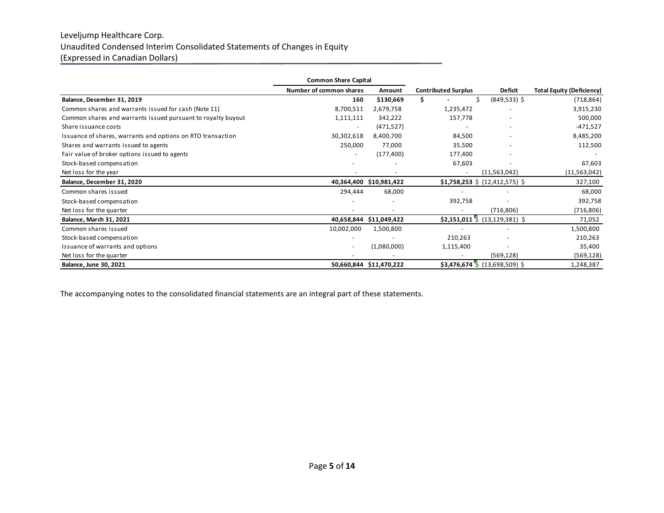#### Leveljump Healthcare Corp. Unaudited Condensed Interim Consolidated Statements of Changes in Equity (Expressed in Canadian Dollars)

| <b>Common Share Capital</b>                                  |                          |                         |                            |                                 |                                  |
|--------------------------------------------------------------|--------------------------|-------------------------|----------------------------|---------------------------------|----------------------------------|
|                                                              | Number of common shares  | Amount                  | <b>Contributed Surplus</b> | <b>Deficit</b>                  | <b>Total Equity (Deficiency)</b> |
| Balance, December 31, 2019                                   | 160                      | \$130,669               |                            | $(849,533)$ \$                  | (718, 864)                       |
| Common shares and warrants issued for cash (Note 11)         | 8,700,511                | 2,679,758               | 1,235,472                  |                                 | 3,915,230                        |
| Common shares and warrants issued pursuant to royalty buyout | 1,111,111                | 342,222                 | 157,778                    |                                 | 500,000                          |
| Share issuance costs                                         | $\overline{\phantom{0}}$ | (471, 527)              |                            |                                 | $-471,527$                       |
| Issuance of shares, warrants and options on RTO transaction  | 30,302,618               | 8,400,700               | 84,500                     |                                 | 8,485,200                        |
| Shares and warrants issued to agents                         | 250,000                  | 77,000                  | 35,500                     |                                 | 112,500                          |
| Fair value of broker options issued to agents                | $\overline{\phantom{a}}$ | (177, 400)              | 177,400                    |                                 | $\overline{\phantom{a}}$         |
| Stock-based compensation                                     |                          |                         | 67,603                     |                                 | 67,603                           |
| Net loss for the year                                        |                          |                         |                            | (11,563,042)                    | (11,563,042)                     |
| Balance, December 31, 2020                                   |                          | 40,364,400 \$10,981,422 |                            | $$1,758,253 \$ (12,412,575) \$$ | 327,100                          |
| Common shares issued                                         | 294,444                  | 68,000                  |                            |                                 | 68,000                           |
| Stock-based compensation                                     |                          |                         | 392,758                    |                                 | 392,758                          |
| Net loss for the quarter                                     |                          |                         |                            | (716, 806)                      | (716, 806)                       |
| <b>Balance, March 31, 2021</b>                               |                          | 40,658,844 \$11,049,422 |                            | $$2,151,011$ $$13,129,381$ \$   | 71,052                           |
| Common shares issued                                         | 10,002,000               | 1,500,800               |                            |                                 | 1,500,800                        |
| Stock-based compensation                                     |                          |                         | 210,263                    |                                 | 210,263                          |
| Issuance of warrants and options                             | $\overline{\phantom{a}}$ | (1,080,000)             | 1,115,400                  |                                 | 35,400                           |
| Net loss for the quarter                                     |                          |                         |                            | (569, 128)                      | (569, 128)                       |
| <b>Balance, June 30, 2021</b>                                |                          | 50,660,844 \$11,470,222 |                            | $$3,476,674$ $$ (13,698,509) $$ | 1,248,387                        |

The accompanying notes to the consolidated financial statements are an integral part of these statements.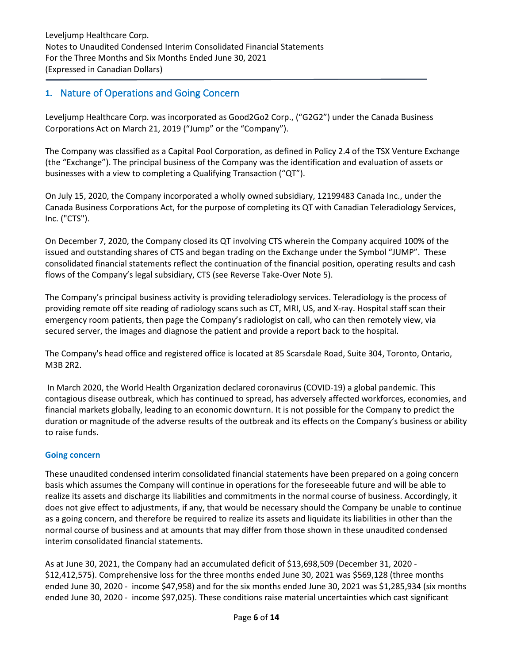## **1.** Nature of Operations and Going Concern

Leveljump Healthcare Corp. was incorporated as Good2Go2 Corp., ("G2G2") under the Canada Business Corporations Act on March 21, 2019 ("Jump" or the "Company").

The Company was classified as a Capital Pool Corporation, as defined in Policy 2.4 of the TSX Venture Exchange (the "Exchange"). The principal business of the Company was the identification and evaluation of assets or businesses with a view to completing a Qualifying Transaction ("QT").

On July 15, 2020, the Company incorporated a wholly owned subsidiary, 12199483 Canada Inc., under the Canada Business Corporations Act, for the purpose of completing its QT with Canadian Teleradiology Services, Inc. ("CTS").

On December 7, 2020, the Company closed its QT involving CTS wherein the Company acquired 100% of the issued and outstanding shares of CTS and began trading on the Exchange under the Symbol "JUMP". These consolidated financial statements reflect the continuation of the financial position, operating results and cash flows of the Company's legal subsidiary, CTS (see Reverse Take-Over Note 5).

The Company's principal business activity is providing teleradiology services. Teleradiology is the process of providing remote off site reading of radiology scans such as CT, MRI, US, and X-ray. Hospital staff scan their emergency room patients, then page the Company's radiologist on call, who can then remotely view, via secured server, the images and diagnose the patient and provide a report back to the hospital.

The Company's head office and registered office is located at 85 Scarsdale Road, Suite 304, Toronto, Ontario, M3B 2R2.

In March 2020, the World Health Organization declared coronavirus (COVID-19) a global pandemic. This contagious disease outbreak, which has continued to spread, has adversely affected workforces, economies, and financial markets globally, leading to an economic downturn. It is not possible for the Company to predict the duration or magnitude of the adverse results of the outbreak and its effects on the Company's business or ability to raise funds.

#### **Going concern**

These unaudited condensed interim consolidated financial statements have been prepared on a going concern basis which assumes the Company will continue in operations for the foreseeable future and will be able to realize its assets and discharge its liabilities and commitments in the normal course of business. Accordingly, it does not give effect to adjustments, if any, that would be necessary should the Company be unable to continue as a going concern, and therefore be required to realize its assets and liquidate its liabilities in other than the normal course of business and at amounts that may differ from those shown in these unaudited condensed interim consolidated financial statements.

As at June 30, 2021, the Company had an accumulated deficit of \$13,698,509 (December 31, 2020 - \$12,412,575). Comprehensive loss for the three months ended June 30, 2021 was \$569,128 (three months ended June 30, 2020 - income \$47,958) and for the six months ended June 30, 2021 was \$1,285,934 (six months ended June 30, 2020 - income \$97,025). These conditions raise material uncertainties which cast significant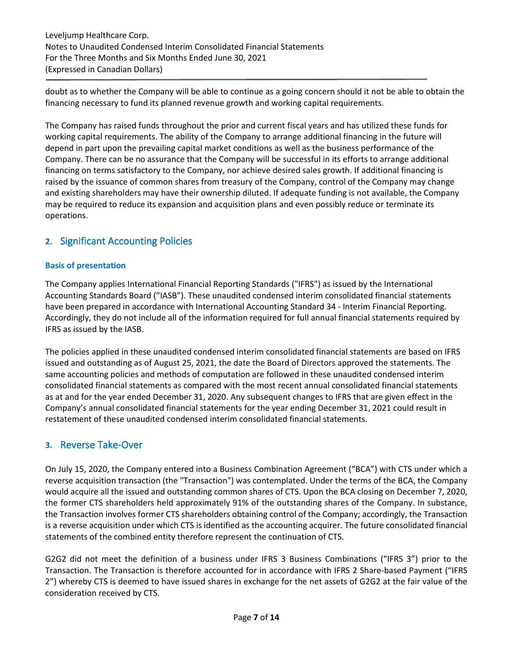Leveljump Healthcare Corp. Notes to Unaudited Condensed Interim Consolidated Financial Statements For the Three Months and Six Months Ended June 30, 2021 (Expressed in Canadian Dollars)

doubt as to whether the Company will be able to continue as a going concern should it not be able to obtain the financing necessary to fund its planned revenue growth and working capital requirements.

The Company has raised funds throughout the prior and current fiscal years and has utilized these funds for working capital requirements. The ability of the Company to arrange additional financing in the future will depend in part upon the prevailing capital market conditions as well as the business performance of the Company. There can be no assurance that the Company will be successful in its efforts to arrange additional financing on terms satisfactory to the Company, nor achieve desired sales growth. If additional financing is raised by the issuance of common shares from treasury of the Company, control of the Company may change and existing shareholders may have their ownership diluted. If adequate funding is not available, the Company may be required to reduce its expansion and acquisition plans and even possibly reduce or terminate its operations.

## **2.** Significant Accounting Policies

#### **Basis of presentation**

The Company applies International Financial Reporting Standards ("IFRS") as issued by the International Accounting Standards Board ("IASB"). These unaudited condensed interim consolidated financial statements have been prepared in accordance with International Accounting Standard 34 - Interim Financial Reporting. Accordingly, they do not include all of the information required for full annual financial statements required by IFRS as issued by the IASB.

The policies applied in these unaudited condensed interim consolidated financial statements are based on IFRS issued and outstanding as of August 25, 2021, the date the Board of Directors approved the statements. The same accounting policies and methods of computation are followed in these unaudited condensed interim consolidated financial statements as compared with the most recent annual consolidated financial statements as at and for the year ended December 31, 2020. Any subsequent changes to IFRS that are given effect in the Company's annual consolidated financial statements for the year ending December 31, 2021 could result in restatement of these unaudited condensed interim consolidated financial statements.

### **3.** Reverse Take-Over

On July 15, 2020, the Company entered into a Business Combination Agreement ("BCA") with CTS under which a reverse acquisition transaction (the "Transaction") was contemplated. Under the terms of the BCA, the Company would acquire all the issued and outstanding common shares of CTS. Upon the BCA closing on December 7, 2020, the former CTS shareholders held approximately 91% of the outstanding shares of the Company. In substance, the Transaction involves former CTS shareholders obtaining control of the Company; accordingly, the Transaction is a reverse acquisition under which CTS is identified as the accounting acquirer. The future consolidated financial statements of the combined entity therefore represent the continuation of CTS.

G2G2 did not meet the definition of a business under IFRS 3 Business Combinations ("IFRS 3") prior to the Transaction. The Transaction is therefore accounted for in accordance with IFRS 2 Share-based Payment ("IFRS 2") whereby CTS is deemed to have issued shares in exchange for the net assets of G2G2 at the fair value of the consideration received by CTS.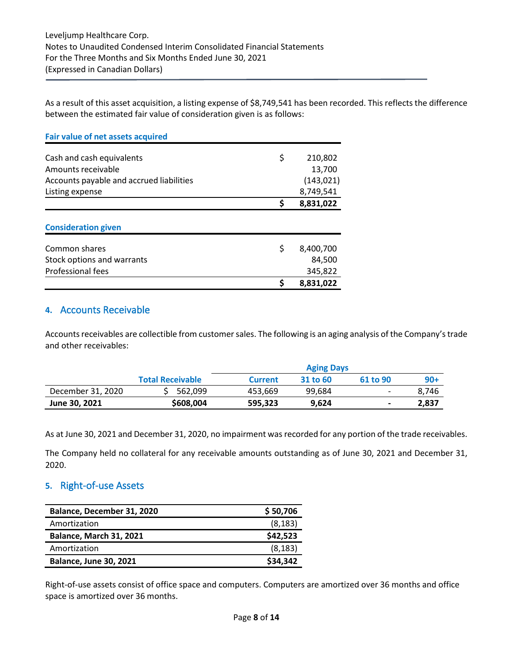As a result of this asset acquisition, a listing expense of \$8,749,541 has been recorded. This reflects the difference between the estimated fair value of consideration given is as follows:

| <b>Fair value of net assets acquired</b> |    |            |
|------------------------------------------|----|------------|
| Cash and cash equivalents                | \$ | 210,802    |
| Amounts receivable                       |    | 13,700     |
| Accounts payable and accrued liabilities |    | (143, 021) |
| Listing expense                          |    | 8,749,541  |
|                                          | Ś  | 8,831,022  |
| <b>Consideration given</b>               |    |            |
| Common shares                            | \$ | 8,400,700  |
| Stock options and warrants               |    | 84,500     |
| Professional fees                        |    | 345,822    |
|                                          | \$ | 8,831,022  |

## **4.** Accounts Receivable

Accounts receivables are collectible from customer sales. The following is an aging analysis of the Company's trade and other receivables:

|                   |                         | <b>Aging Days</b> |          |                          |       |
|-------------------|-------------------------|-------------------|----------|--------------------------|-------|
|                   | <b>Total Receivable</b> | <b>Current</b>    | 31 to 60 | 61 to 90                 | $90+$ |
| December 31, 2020 | 562.099                 | 453.669           | 99.684   | $\overline{\phantom{a}}$ | 8,746 |
| June 30, 2021     | \$608,004               | 595,323           | 9.624    | $\blacksquare$           | 2,837 |

As at June 30, 2021 and December 31, 2020, no impairment was recorded for any portion of the trade receivables.

The Company held no collateral for any receivable amounts outstanding as of June 30, 2021 and December 31, 2020.

## **5.** Right-of-use Assets

| Balance, December 31, 2020     | \$50,706 |
|--------------------------------|----------|
| Amortization                   | (8, 183) |
| <b>Balance, March 31, 2021</b> | \$42,523 |
| Amortization                   | (8, 183) |
| <b>Balance, June 30, 2021</b>  | \$34,342 |

Right-of-use assets consist of office space and computers. Computers are amortized over 36 months and office space is amortized over 36 months.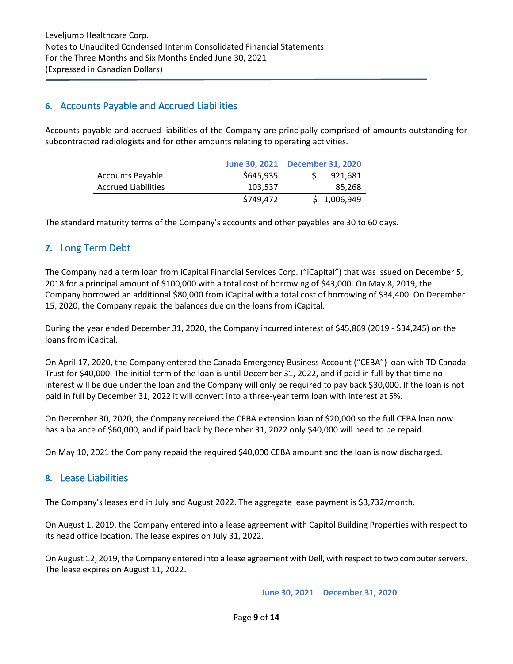## **6.** Accounts Payable and Accrued Liabilities

Accounts payable and accrued liabilities of the Company are principally comprised of amounts outstanding for subcontracted radiologists and for other amounts relating to operating activities.

|                            | June 30, 2021 December 31, 2020 |             |
|----------------------------|---------------------------------|-------------|
| <b>Accounts Payable</b>    | \$645,935                       | 921,681     |
| <b>Accrued Liabilities</b> | 103.537                         | 85,268      |
|                            | \$749,472                       | \$1,006,949 |

The standard maturity terms of the Company's accounts and other payables are 30 to 60 days.

## **7.** Long Term Debt

The Company had a term loan from iCapital Financial Services Corp. ("iCapital") that was issued on December 5, 2018 for a principal amount of \$100,000 with a total cost of borrowing of \$43,000. On May 8, 2019, the Company borrowed an additional \$80,000 from iCapital with a total cost of borrowing of \$34,400. On December 15, 2020, the Company repaid the balances due on the loans from iCapital.

During the year ended December 31, 2020, the Company incurred interest of \$45,869 (2019 - \$34,245) on the loans from iCapital.

On April 17, 2020, the Company entered the Canada Emergency Business Account ("CEBA") loan with TD Canada Trust for \$40,000. The initial term of the loan is until December 31, 2022, and if paid in full by that time no interest will be due under the loan and the Company will only be required to pay back \$30,000. If the loan is not paid in full by December 31, 2022 it will convert into a three-year term loan with interest at 5%.

On December 30, 2020, the Company received the CEBA extension loan of \$20,000 so the full CEBA loan now has a balance of \$60,000, and if paid back by December 31, 2022 only \$40,000 will need to be repaid.

On May 10, 2021 the Company repaid the required \$40,000 CEBA amount and the loan is now discharged.

### **8.** Lease Liabilities

The Company's leases end in July and August 2022. The aggregate lease payment is \$3,732/month.

On August 1, 2019, the Company entered into a lease agreement with Capitol Building Properties with respect to its head office location. The lease expires on July 31, 2022.

On August 12, 2019, the Company entered into a lease agreement with Dell, with respect to two computer servers. The lease expires on August 11, 2022.

**June 30, 2021 December 31, 2020**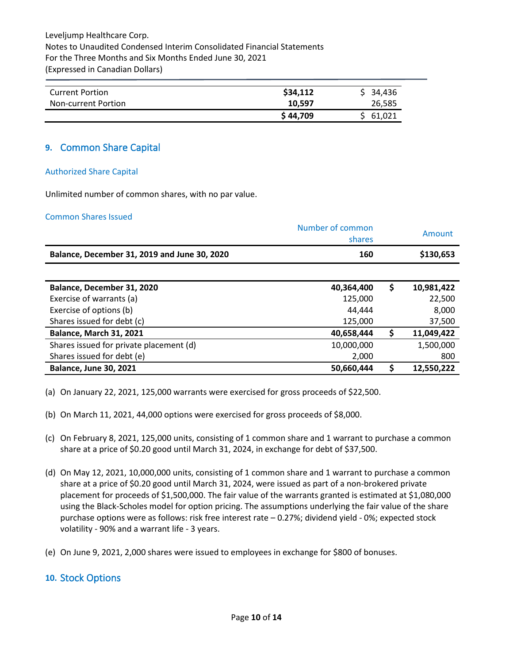Leveljump Healthcare Corp. Notes to Unaudited Condensed Interim Consolidated Financial Statements For the Three Months and Six Months Ended June 30, 2021 (Expressed in Canadian Dollars)

| <b>Current Portion</b> | \$34,112 | \$34,436 |
|------------------------|----------|----------|
| Non-current Portion    | 10.597   | 26,585   |
|                        | \$44,709 | \$61,021 |

#### **9.** Common Share Capital

#### Authorized Share Capital

Unlimited number of common shares, with no par value.

#### Common Shares Issued

|                                              | Number of common<br>shares |    | Amount     |
|----------------------------------------------|----------------------------|----|------------|
| Balance, December 31, 2019 and June 30, 2020 | 160                        |    | \$130,653  |
|                                              |                            |    |            |
| Balance, December 31, 2020                   | 40,364,400                 | \$ | 10,981,422 |
| Exercise of warrants (a)                     | 125,000                    |    | 22,500     |
| Exercise of options (b)                      | 44,444                     |    | 8,000      |
| Shares issued for debt (c)                   | 125,000                    |    | 37,500     |
| <b>Balance, March 31, 2021</b>               | 40,658,444                 | S  | 11,049,422 |
| Shares issued for private placement (d)      | 10,000,000                 |    | 1,500,000  |
| Shares issued for debt (e)                   | 2,000                      |    | 800        |
| <b>Balance, June 30, 2021</b>                | 50,660,444                 | Ś  | 12,550,222 |

(a) On January 22, 2021, 125,000 warrants were exercised for gross proceeds of \$22,500.

- (b) On March 11, 2021, 44,000 options were exercised for gross proceeds of \$8,000.
- (c) On February 8, 2021, 125,000 units, consisting of 1 common share and 1 warrant to purchase a common share at a price of \$0.20 good until March 31, 2024, in exchange for debt of \$37,500.
- (d) On May 12, 2021, 10,000,000 units, consisting of 1 common share and 1 warrant to purchase a common share at a price of \$0.20 good until March 31, 2024, were issued as part of a non-brokered private placement for proceeds of \$1,500,000. The fair value of the warrants granted is estimated at \$1,080,000 using the Black-Scholes model for option pricing. The assumptions underlying the fair value of the share purchase options were as follows: risk free interest rate – 0.27%; dividend yield - 0%; expected stock volatility - 90% and a warrant life - 3 years.
- (e) On June 9, 2021, 2,000 shares were issued to employees in exchange for \$800 of bonuses.

#### **10.** Stock Options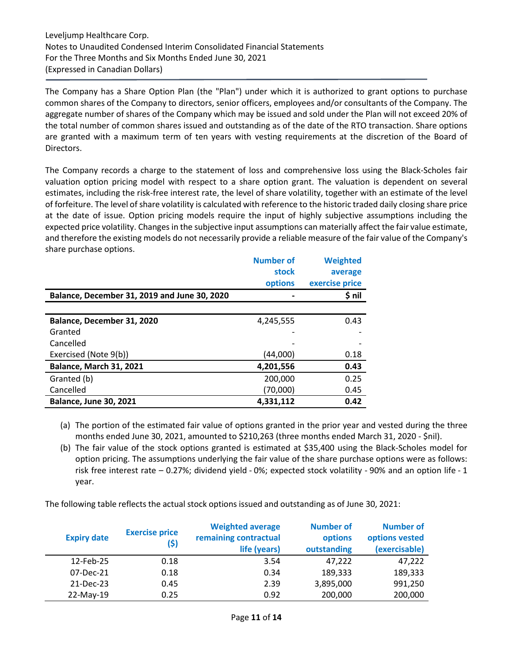The Company has a Share Option Plan (the "Plan") under which it is authorized to grant options to purchase common shares of the Company to directors, senior officers, employees and/or consultants of the Company. The aggregate number of shares of the Company which may be issued and sold under the Plan will not exceed 20% of the total number of common shares issued and outstanding as of the date of the RTO transaction. Share options are granted with a maximum term of ten years with vesting requirements at the discretion of the Board of Directors.

The Company records a charge to the statement of loss and comprehensive loss using the Black-Scholes fair valuation option pricing model with respect to a share option grant. The valuation is dependent on several estimates, including the risk-free interest rate, the level of share volatility, together with an estimate of the level of forfeiture. The level of share volatility is calculated with reference to the historic traded daily closing share price at the date of issue. Option pricing models require the input of highly subjective assumptions including the expected price volatility. Changes in the subjective input assumptions can materially affect the fair value estimate, and therefore the existing models do not necessarily provide a reliable measure of the fair value of the Company's share purchase options.

|                                              | <b>Number of</b> | <b>Weighted</b> |
|----------------------------------------------|------------------|-----------------|
|                                              | stock            | average         |
|                                              | options          | exercise price  |
| Balance, December 31, 2019 and June 30, 2020 |                  | \$ nil          |
|                                              |                  |                 |
| Balance, December 31, 2020                   | 4,245,555        | 0.43            |
| Granted                                      |                  |                 |
| Cancelled                                    |                  |                 |
| Exercised (Note 9(b))                        | (44,000)         | 0.18            |
| <b>Balance, March 31, 2021</b>               | 4,201,556        | 0.43            |
| Granted (b)                                  | 200,000          | 0.25            |
| Cancelled                                    | (70,000)         | 0.45            |
| <b>Balance, June 30, 2021</b>                | 4.331.112        | 0.42            |

- (a) The portion of the estimated fair value of options granted in the prior year and vested during the three months ended June 30, 2021, amounted to \$210,263 (three months ended March 31, 2020 - \$nil).
- (b) The fair value of the stock options granted is estimated at \$35,400 using the Black-Scholes model for option pricing. The assumptions underlying the fair value of the share purchase options were as follows: risk free interest rate – 0.27%; dividend yield - 0%; expected stock volatility - 90% and an option life - 1 year.

The following table reflects the actual stock options issued and outstanding as of June 30, 2021:

| <b>Expiry date</b> | <b>Exercise price</b><br>(\$) | <b>Weighted average</b><br>remaining contractual<br>life (years) | <b>Number of</b><br>options<br>outstanding | <b>Number of</b><br>options vested<br>(exercisable) |
|--------------------|-------------------------------|------------------------------------------------------------------|--------------------------------------------|-----------------------------------------------------|
| 12-Feb-25          | 0.18                          | 3.54                                                             | 47,222                                     | 47,222                                              |
| 07-Dec-21          | 0.18                          | 0.34                                                             | 189,333                                    | 189,333                                             |
| 21-Dec-23          | 0.45                          | 2.39                                                             | 3,895,000                                  | 991,250                                             |
| 22-May-19          | 0.25                          | 0.92                                                             | 200,000                                    | 200,000                                             |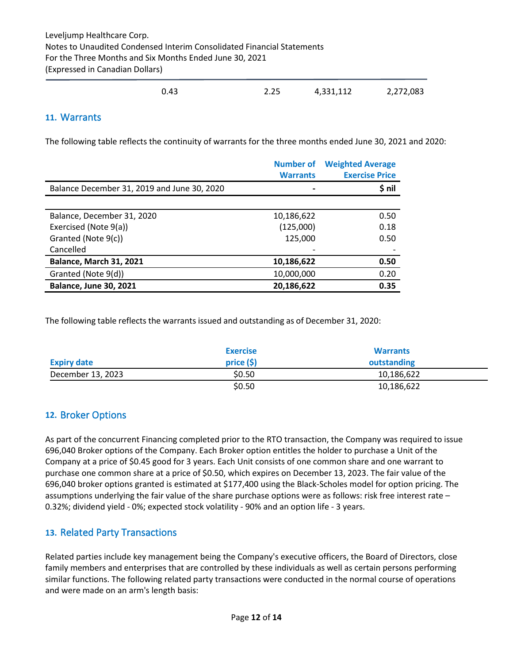| 0.43 | 2.25 | 4,331,112 | 2,272,083 |
|------|------|-----------|-----------|
|      |      |           |           |

## **11.** Warrants

The following table reflects the continuity of warrants for the three months ended June 30, 2021 and 2020:

|                                             | <b>Number of</b><br><b>Warrants</b> | <b>Weighted Average</b><br><b>Exercise Price</b> |
|---------------------------------------------|-------------------------------------|--------------------------------------------------|
| Balance December 31, 2019 and June 30, 2020 |                                     | \$ nil                                           |
|                                             |                                     |                                                  |
| Balance, December 31, 2020                  | 10,186,622                          | 0.50                                             |
| Exercised (Note 9(a))                       | (125,000)                           | 0.18                                             |
| Granted (Note 9(c))                         | 125,000                             | 0.50                                             |
| Cancelled                                   |                                     |                                                  |
| <b>Balance, March 31, 2021</b>              | 10,186,622                          | 0.50                                             |
| Granted (Note 9(d))                         | 10,000,000                          | 0.20                                             |
| <b>Balance, June 30, 2021</b>               | 20,186,622                          | 0.35                                             |

The following table reflects the warrants issued and outstanding as of December 31, 2020:

|                    | <b>Exercise</b> | <b>Warrants</b> |
|--------------------|-----------------|-----------------|
| <b>Expiry date</b> | price(5)        | outstanding     |
| December 13, 2023  | \$0.50          | 10,186,622      |
|                    | \$0.50          | 10,186,622      |

## **12.** Broker Options

As part of the concurrent Financing completed prior to the RTO transaction, the Company was required to issue 696,040 Broker options of the Company. Each Broker option entitles the holder to purchase a Unit of the Company at a price of \$0.45 good for 3 years. Each Unit consists of one common share and one warrant to purchase one common share at a price of \$0.50, which expires on December 13, 2023. The fair value of the 696,040 broker options granted is estimated at \$177,400 using the Black-Scholes model for option pricing. The assumptions underlying the fair value of the share purchase options were as follows: risk free interest rate – 0.32%; dividend yield - 0%; expected stock volatility - 90% and an option life - 3 years.

### **13.** Related Party Transactions

Related parties include key management being the Company's executive officers, the Board of Directors, close family members and enterprises that are controlled by these individuals as well as certain persons performing similar functions. The following related party transactions were conducted in the normal course of operations and were made on an arm's length basis: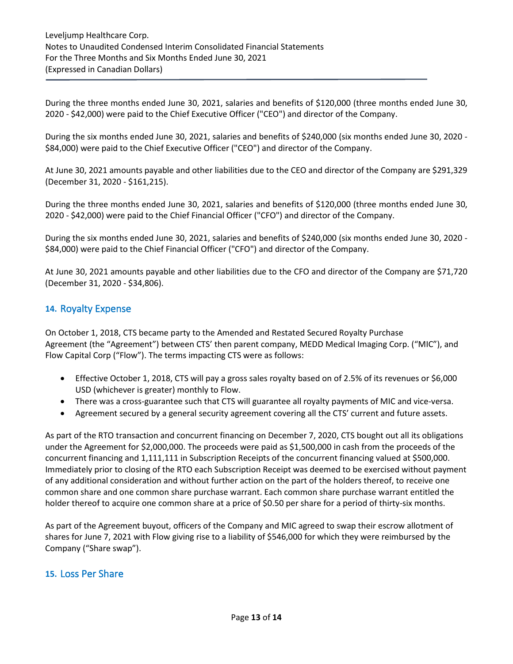During the three months ended June 30, 2021, salaries and benefits of \$120,000 (three months ended June 30, 2020 - \$42,000) were paid to the Chief Executive Officer ("CEO") and director of the Company.

During the six months ended June 30, 2021, salaries and benefits of \$240,000 (six months ended June 30, 2020 - \$84,000) were paid to the Chief Executive Officer ("CEO") and director of the Company.

At June 30, 2021 amounts payable and other liabilities due to the CEO and director of the Company are \$291,329 (December 31, 2020 - \$161,215).

During the three months ended June 30, 2021, salaries and benefits of \$120,000 (three months ended June 30, 2020 - \$42,000) were paid to the Chief Financial Officer ("CFO") and director of the Company.

During the six months ended June 30, 2021, salaries and benefits of \$240,000 (six months ended June 30, 2020 - \$84,000) were paid to the Chief Financial Officer ("CFO") and director of the Company.

At June 30, 2021 amounts payable and other liabilities due to the CFO and director of the Company are \$71,720 (December 31, 2020 - \$34,806).

#### **14.** Royalty Expense

On October 1, 2018, CTS became party to the Amended and Restated Secured Royalty Purchase Agreement (the "Agreement") between CTS' then parent company, MEDD Medical Imaging Corp. ("MIC"), and Flow Capital Corp ("Flow"). The terms impacting CTS were as follows:

- Effective October 1, 2018, CTS will pay a gross sales royalty based on of 2.5% of its revenues or \$6,000 USD (whichever is greater) monthly to Flow.
- There was a cross-guarantee such that CTS will guarantee all royalty payments of MIC and vice-versa.
- Agreement secured by a general security agreement covering all the CTS' current and future assets.

As part of the RTO transaction and concurrent financing on December 7, 2020, CTS bought out all its obligations under the Agreement for \$2,000,000. The proceeds were paid as \$1,500,000 in cash from the proceeds of the concurrent financing and 1,111,111 in Subscription Receipts of the concurrent financing valued at \$500,000. Immediately prior to closing of the RTO each Subscription Receipt was deemed to be exercised without payment of any additional consideration and without further action on the part of the holders thereof, to receive one common share and one common share purchase warrant. Each common share purchase warrant entitled the holder thereof to acquire one common share at a price of \$0.50 per share for a period of thirty-six months.

As part of the Agreement buyout, officers of the Company and MIC agreed to swap their escrow allotment of shares for June 7, 2021 with Flow giving rise to a liability of \$546,000 for which they were reimbursed by the Company ("Share swap").

#### **15.** Loss Per Share